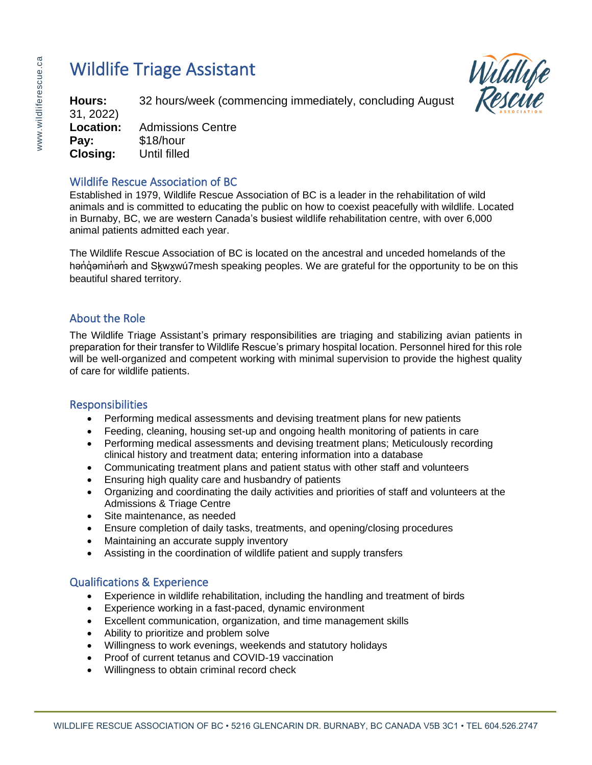# Wildlife Triage Assistant



**Hours:** 32 hours/week (commencing immediately, concluding August 31, 2022) **Location:** Admissions Centre **Pay:** \$18/hour **Closing:** Until filled

## Wildlife Rescue Association of BC

Established in 1979, Wildlife Rescue Association of BC is a leader in the rehabilitation of wild animals and is committed to educating the public on how to coexist peacefully with wildlife. Located in Burnaby, BC, we are western Canada's busiest wildlife rehabilitation centre, with over 6,000 animal patients admitted each year.

The Wildlife Rescue Association of BC is located on the ancestral and unceded homelands of the hənd imininin and Skwxwu7mesh speaking peoples. We are grateful for the opportunity to be on this beautiful shared territory.

## About the Role

The Wildlife Triage Assistant's primary responsibilities are triaging and stabilizing avian patients in preparation for their transfer to Wildlife Rescue's primary hospital location. Personnel hired for this role will be well-organized and competent working with minimal supervision to provide the highest quality of care for wildlife patients.

## **Responsibilities**

- Performing medical assessments and devising treatment plans for new patients
- Feeding, cleaning, housing set-up and ongoing health monitoring of patients in care
- Performing medical assessments and devising treatment plans; Meticulously recording clinical history and treatment data; entering information into a database
- Communicating treatment plans and patient status with other staff and volunteers
- Ensuring high quality care and husbandry of patients
- Organizing and coordinating the daily activities and priorities of staff and volunteers at the Admissions & Triage Centre
- Site maintenance, as needed
- Ensure completion of daily tasks, treatments, and opening/closing procedures
- Maintaining an accurate supply inventory
- Assisting in the coordination of wildlife patient and supply transfers

## Qualifications & Experience

- Experience in wildlife rehabilitation, including the handling and treatment of birds
- Experience working in a fast-paced, dynamic environment
- Excellent communication, organization, and time management skills
- Ability to prioritize and problem solve
- Willingness to work evenings, weekends and statutory holidays
- Proof of current tetanus and COVID-19 vaccination
- Willingness to obtain criminal record check